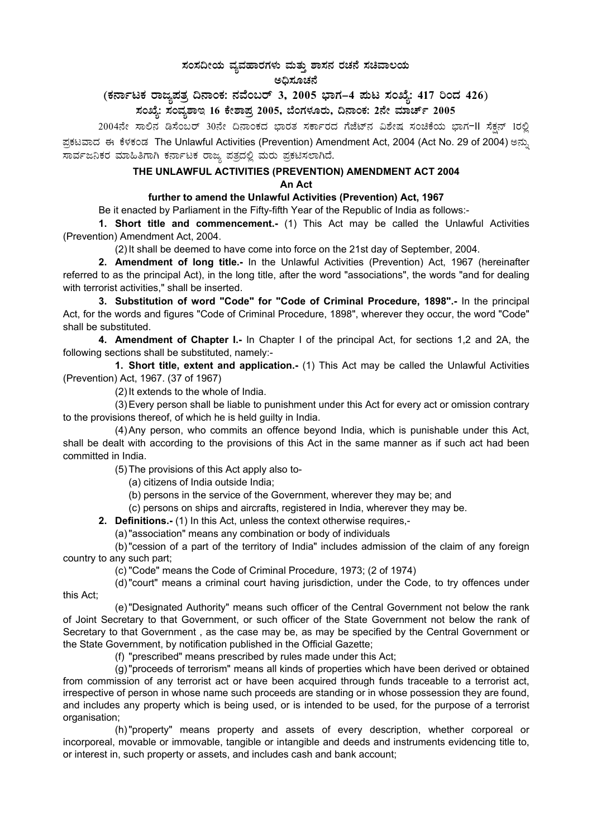# $\,$ ಸಂಸದೀಯ ವ್ಯವಹಾರಗಳು ಮತ್ತು ಶಾಸನ ರಚನೆ ಸಚಿವಾಲಯ ಅಧಿಸೂಚನೆ

# (ಕರ್ನಾಟಕ ರಾಜ್ಯಪತ್ರ ದಿನಾಂಕ: ನವೆಂಬರ್ 3, 2005 ಭಾಗ–4 **ಪುಟ ಸಂಖ್ಯೆ: 417 ರಿಂದ 426**) ಸಂಖ್ಯೆ: ಸಂವ್ಯಶಾಇ 16 ಕೇಶಾಪ್ರ 2005, ಬೆಂಗಳೂರು, ದಿನಾಂಕ: 2ನೇ ಮಾರ್ಚ್ 2005

2004ನೇ ಸಾಲಿನ ಡಿಸೆಂಬರ್ 30ನೇ ದಿನಾಂಕದ ಭಾರತ ಸರ್ಕಾರದ ಗೆಜೆಟ್ನ ವಿಶೇಷ ಸಂಚಿಕೆಯ ಭಾಗ-II ಸೆಕ್ಷನ್ 1ರಲ್ಲಿ ಪ್ರಕಟವಾದ ಈ ಕೆಳಕಂಡ The Unlawful Activities (Prevention) Amendment Act, 2004 (Act No. 29 of 2004) ಅನ್ನು ಸಾರ್ವಜನಿಕರ ಮಾಹಿತಿಗಾಗಿ ಕರ್ನಾಟಕ ರಾಜ್ಯ ಪತ್ರದಲ್ಲಿ ಮರು ಪ್ರಕಟಿಸಲಾಗಿದೆ.

#### **THE UNLAWFUL ACTIVITIES (PREVENTION) AMENDMENT ACT 2004 An Act**

## **further to amend the Unlawful Activities (Prevention) Act, 1967**

Be it enacted by Parliament in the Fifty-fifth Year of the Republic of India as follows:-

**1. Short title and commencement.-** (1) This Act may be called the Unlawful Activities (Prevention) Amendment Act, 2004.

(2) It shall be deemed to have come into force on the 21st day of September, 2004.

**2. Amendment of long title.-** In the Unlawful Activities (Prevention) Act, 1967 (hereinafter referred to as the principal Act), in the long title, after the word "associations", the words "and for dealing with terrorist activities," shall be inserted.

**3. Substitution of word "Code" for "Code of Criminal Procedure, 1898".-** In the principal Act, for the words and figures "Code of Criminal Procedure, 1898", wherever they occur, the word "Code" shall be substituted.

**4. Amendment of Chapter I.-** In Chapter I of the principal Act, for sections 1,2 and 2A, the following sections shall be substituted, namely:-

 **1. Short title, extent and application.-** (1) This Act may be called the Unlawful Activities (Prevention) Act, 1967. (37 of 1967)

(2) It extends to the whole of India.

(3) Every person shall be liable to punishment under this Act for every act or omission contrary to the provisions thereof, of which he is held guilty in India.

(4) Any person, who commits an offence beyond India, which is punishable under this Act, shall be dealt with according to the provisions of this Act in the same manner as if such act had been committed in India.

(5) The provisions of this Act apply also to-

(a) citizens of India outside India;

(b) persons in the service of the Government, wherever they may be; and

(c) persons on ships and aircrafts, registered in India, wherever they may be.

**2. Definitions.-** (1) In this Act, unless the context otherwise requires,-

(a) "association" means any combination or body of individuals

(b) "cession of a part of the territory of India" includes admission of the claim of any foreign country to any such part;

(c) "Code" means the Code of Criminal Procedure, 1973; (2 of 1974)

(d) "court" means a criminal court having jurisdiction, under the Code, to try offences under this Act;

(e) "Designated Authority" means such officer of the Central Government not below the rank of Joint Secretary to that Government, or such officer of the State Government not below the rank of

Secretary to that Government , as the case may be, as may be specified by the Central Government or the State Government, by notification published in the Official Gazette;

(f) "prescribed" means prescribed by rules made under this Act;

(g) "proceeds of terrorism" means all kinds of properties which have been derived or obtained from commission of any terrorist act or have been acquired through funds traceable to a terrorist act, irrespective of person in whose name such proceeds are standing or in whose possession they are found, and includes any property which is being used, or is intended to be used, for the purpose of a terrorist organisation;

(h) "property" means property and assets of every description, whether corporeal or incorporeal, movable or immovable, tangible or intangible and deeds and instruments evidencing title to, or interest in, such property or assets, and includes cash and bank account;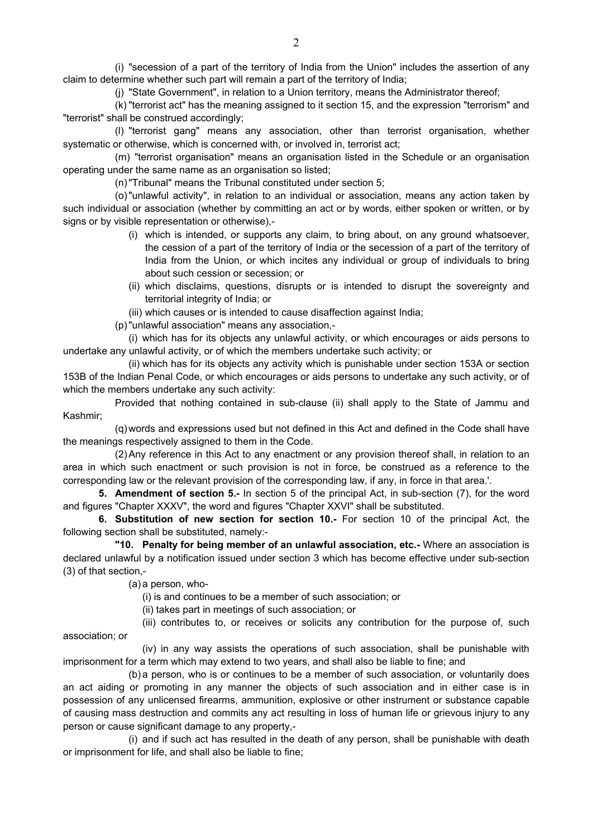(i) "secession of a part of the territory of India from the Union" includes the assertion of any claim to determine whether such part will remain a part of the territory of India;

(j) "State Government", in relation to a Union territory, means the Administrator thereof;

(k) "terrorist act" has the meaning assigned to it section 15, and the expression "terrorism" and "terrorist" shall be construed accordingly;

(l) "terrorist gang" means any association, other than terrorist organisation, whether systematic or otherwise, which is concerned with, or involved in, terrorist act;

(m) "terrorist organisation" means an organisation listed in the Schedule or an organisation operating under the same name as an organisation so listed;

(n) "Tribunal" means the Tribunal constituted under section 5;

(o) "unlawful activity", in relation to an individual or association, means any action taken by such individual or association (whether by committing an act or by words, either spoken or written, or by signs or by visible representation or otherwise),-

- (i) which is intended, or supports any claim, to bring about, on any ground whatsoever, the cession of a part of the territory of India or the secession of a part of the territory of India from the Union, or which incites any individual or group of individuals to bring about such cession or secession; or
- (ii) which disclaims, questions, disrupts or is intended to disrupt the sovereignty and territorial integrity of India; or

(iii) which causes or is intended to cause disaffection against India;

(p) "unlawful association" means any association,-

(i) which has for its objects any unlawful activity, or which encourages or aids persons to undertake any unlawful activity, or of which the members undertake such activity; or

(ii) which has for its objects any activity which is punishable under section 153A or section 153B of the Indian Penal Code, or which encourages or aids persons to undertake any such activity, or of which the members undertake any such activity:

Provided that nothing contained in sub-clause (ii) shall apply to the State of Jammu and Kashmir;

(q) words and expressions used but not defined in this Act and defined in the Code shall have the meanings respectively assigned to them in the Code.

(2) Any reference in this Act to any enactment or any provision thereof shall, in relation to an area in which such enactment or such provision is not in force, be construed as a reference to the corresponding law or the relevant provision of the corresponding law, if any, in force in that area.'.

**5. Amendment of section 5.-** In section 5 of the principal Act, in sub-section (7), for the word and figures "Chapter XXXV", the word and figures "Chapter XXVI" shall be substituted.

**6. Substitution of new section for section 10.-** For section 10 of the principal Act, the following section shall be substituted, namely:-

 **"10. Penalty for being member of an unlawful association, etc.-** Where an association is declared unlawful by a notification issued under section 3 which has become effective under sub-section (3) of that section,-

(a) a person, who-

(i) is and continues to be a member of such association; or

(ii) takes part in meetings of such association; or

(iii) contributes to, or receives or solicits any contribution for the purpose of, such association; or

(iv) in any way assists the operations of such association, shall be punishable with imprisonment for a term which may extend to two years, and shall also be liable to fine; and

(b) a person, who is or continues to be a member of such association, or voluntarily does an act aiding or promoting in any manner the objects of such association and in either case is in possession of any unlicensed firearms, ammunition, explosive or other instrument or substance capable of causing mass destruction and commits any act resulting in loss of human life or grievous injury to any person or cause significant damage to any property,-

(i) and if such act has resulted in the death of any person, shall be punishable with death or imprisonment for life, and shall also be liable to fine;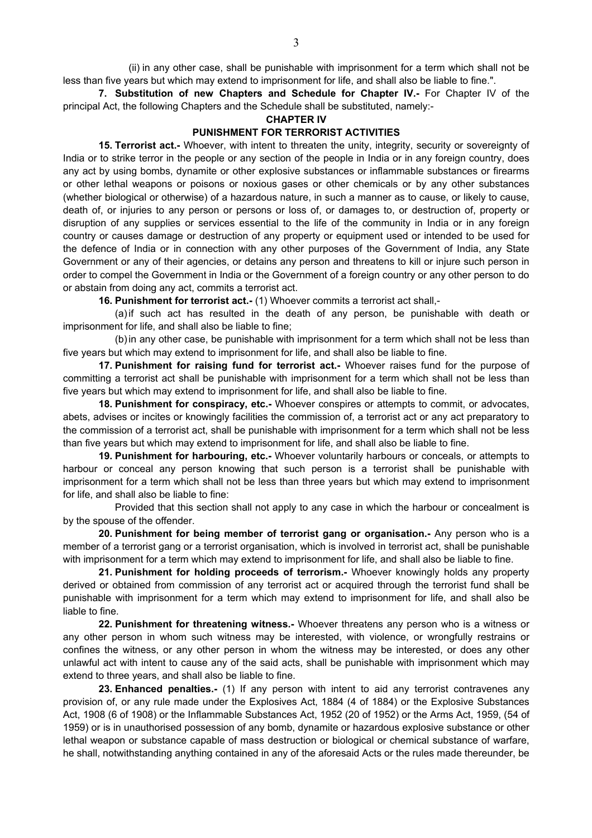(ii) in any other case, shall be punishable with imprisonment for a term which shall not be less than five years but which may extend to imprisonment for life, and shall also be liable to fine.".

**7. Substitution of new Chapters and Schedule for Chapter IV.-** For Chapter IV of the principal Act, the following Chapters and the Schedule shall be substituted, namely:-

**CHAPTER IV** 

### **PUNISHMENT FOR TERRORIST ACTIVITIES**

**15. Terrorist act.-** Whoever, with intent to threaten the unity, integrity, security or sovereignty of India or to strike terror in the people or any section of the people in India or in any foreign country, does any act by using bombs, dynamite or other explosive substances or inflammable substances or firearms or other lethal weapons or poisons or noxious gases or other chemicals or by any other substances (whether biological or otherwise) of a hazardous nature, in such a manner as to cause, or likely to cause, death of, or injuries to any person or persons or loss of, or damages to, or destruction of, property or disruption of any supplies or services essential to the life of the community in India or in any foreign country or causes damage or destruction of any property or equipment used or intended to be used for the defence of India or in connection with any other purposes of the Government of India, any State Government or any of their agencies, or detains any person and threatens to kill or injure such person in order to compel the Government in India or the Government of a foreign country or any other person to do or abstain from doing any act, commits a terrorist act.

**16. Punishment for terrorist act.-** (1) Whoever commits a terrorist act shall,-

(a) if such act has resulted in the death of any person, be punishable with death or imprisonment for life, and shall also be liable to fine;

(b) in any other case, be punishable with imprisonment for a term which shall not be less than five years but which may extend to imprisonment for life, and shall also be liable to fine.

**17. Punishment for raising fund for terrorist act.-** Whoever raises fund for the purpose of committing a terrorist act shall be punishable with imprisonment for a term which shall not be less than five years but which may extend to imprisonment for life, and shall also be liable to fine.

**18. Punishment for conspiracy, etc.-** Whoever conspires or attempts to commit, or advocates, abets, advises or incites or knowingly facilities the commission of, a terrorist act or any act preparatory to the commission of a terrorist act, shall be punishable with imprisonment for a term which shall not be less than five years but which may extend to imprisonment for life, and shall also be liable to fine.

**19. Punishment for harbouring, etc.-** Whoever voluntarily harbours or conceals, or attempts to harbour or conceal any person knowing that such person is a terrorist shall be punishable with imprisonment for a term which shall not be less than three years but which may extend to imprisonment for life, and shall also be liable to fine:

Provided that this section shall not apply to any case in which the harbour or concealment is by the spouse of the offender.

**20. Punishment for being member of terrorist gang or organisation.-** Any person who is a member of a terrorist gang or a terrorist organisation, which is involved in terrorist act, shall be punishable with imprisonment for a term which may extend to imprisonment for life, and shall also be liable to fine.

**21. Punishment for holding proceeds of terrorism.-** Whoever knowingly holds any property derived or obtained from commission of any terrorist act or acquired through the terrorist fund shall be punishable with imprisonment for a term which may extend to imprisonment for life, and shall also be liable to fine.

**22. Punishment for threatening witness.-** Whoever threatens any person who is a witness or any other person in whom such witness may be interested, with violence, or wrongfully restrains or confines the witness, or any other person in whom the witness may be interested, or does any other unlawful act with intent to cause any of the said acts, shall be punishable with imprisonment which may extend to three years, and shall also be liable to fine.

**23. Enhanced penalties.-** (1) If any person with intent to aid any terrorist contravenes any provision of, or any rule made under the Explosives Act, 1884 (4 of 1884) or the Explosive Substances Act, 1908 (6 of 1908) or the Inflammable Substances Act, 1952 (20 of 1952) or the Arms Act, 1959, (54 of 1959) or is in unauthorised possession of any bomb, dynamite or hazardous explosive substance or other lethal weapon or substance capable of mass destruction or biological or chemical substance of warfare, he shall, notwithstanding anything contained in any of the aforesaid Acts or the rules made thereunder, be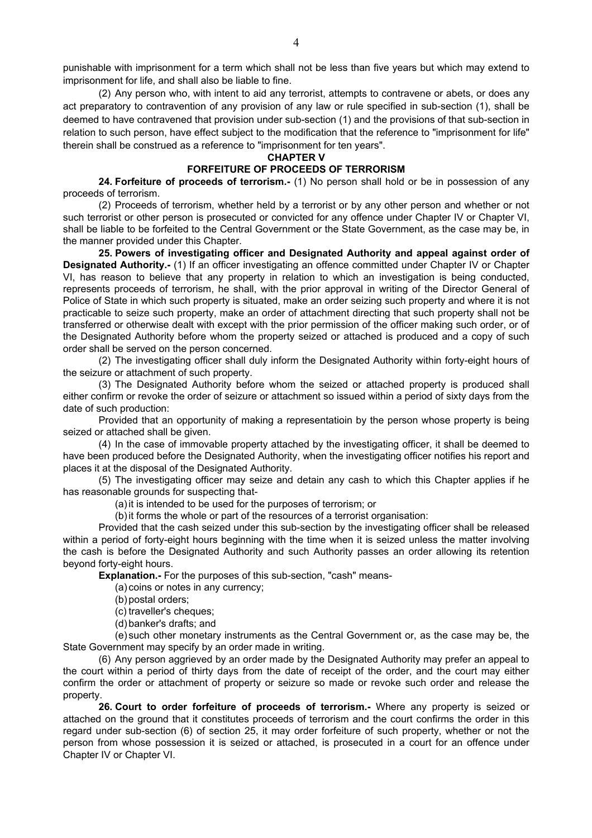punishable with imprisonment for a term which shall not be less than five years but which may extend to imprisonment for life, and shall also be liable to fine.

(2) Any person who, with intent to aid any terrorist, attempts to contravene or abets, or does any act preparatory to contravention of any provision of any law or rule specified in sub-section (1), shall be deemed to have contravened that provision under sub-section (1) and the provisions of that sub-section in relation to such person, have effect subject to the modification that the reference to "imprisonment for life" therein shall be construed as a reference to "imprisonment for ten years".

### **CHAPTER V**

# **FORFEITURE OF PROCEEDS OF TERRORISM**

**24. Forfeiture of proceeds of terrorism.-** (1) No person shall hold or be in possession of any proceeds of terrorism.

(2) Proceeds of terrorism, whether held by a terrorist or by any other person and whether or not such terrorist or other person is prosecuted or convicted for any offence under Chapter IV or Chapter VI, shall be liable to be forfeited to the Central Government or the State Government, as the case may be, in the manner provided under this Chapter.

**25. Powers of investigating officer and Designated Authority and appeal against order of Designated Authority.-** (1) If an officer investigating an offence committed under Chapter IV or Chapter VI, has reason to believe that any property in relation to which an investigation is being conducted, represents proceeds of terrorism, he shall, with the prior approval in writing of the Director General of Police of State in which such property is situated, make an order seizing such property and where it is not practicable to seize such property, make an order of attachment directing that such property shall not be transferred or otherwise dealt with except with the prior permission of the officer making such order, or of the Designated Authority before whom the property seized or attached is produced and a copy of such order shall be served on the person concerned.

(2) The investigating officer shall duly inform the Designated Authority within forty-eight hours of the seizure or attachment of such property.

(3) The Designated Authority before whom the seized or attached property is produced shall either confirm or revoke the order of seizure or attachment so issued within a period of sixty days from the date of such production:

Provided that an opportunity of making a representatioin by the person whose property is being seized or attached shall be given.

(4) In the case of immovable property attached by the investigating officer, it shall be deemed to have been produced before the Designated Authority, when the investigating officer notifies his report and places it at the disposal of the Designated Authority.

(5) The investigating officer may seize and detain any cash to which this Chapter applies if he has reasonable grounds for suspecting that-

(a) it is intended to be used for the purposes of terrorism; or

(b) it forms the whole or part of the resources of a terrorist organisation:

Provided that the cash seized under this sub-section by the investigating officer shall be released within a period of forty-eight hours beginning with the time when it is seized unless the matter involving the cash is before the Designated Authority and such Authority passes an order allowing its retention beyond forty-eight hours.

**Explanation.-** For the purposes of this sub-section, "cash" means-

(a) coins or notes in any currency;

(b) postal orders;

(c) traveller's cheques;

(d) banker's drafts; and

(e) such other monetary instruments as the Central Government or, as the case may be, the State Government may specify by an order made in writing.

(6) Any person aggrieved by an order made by the Designated Authority may prefer an appeal to the court within a period of thirty days from the date of receipt of the order, and the court may either confirm the order or attachment of property or seizure so made or revoke such order and release the property.

**26. Court to order forfeiture of proceeds of terrorism.-** Where any property is seized or attached on the ground that it constitutes proceeds of terrorism and the court confirms the order in this regard under sub-section (6) of section 25, it may order forfeiture of such property, whether or not the person from whose possession it is seized or attached, is prosecuted in a court for an offence under Chapter IV or Chapter VI.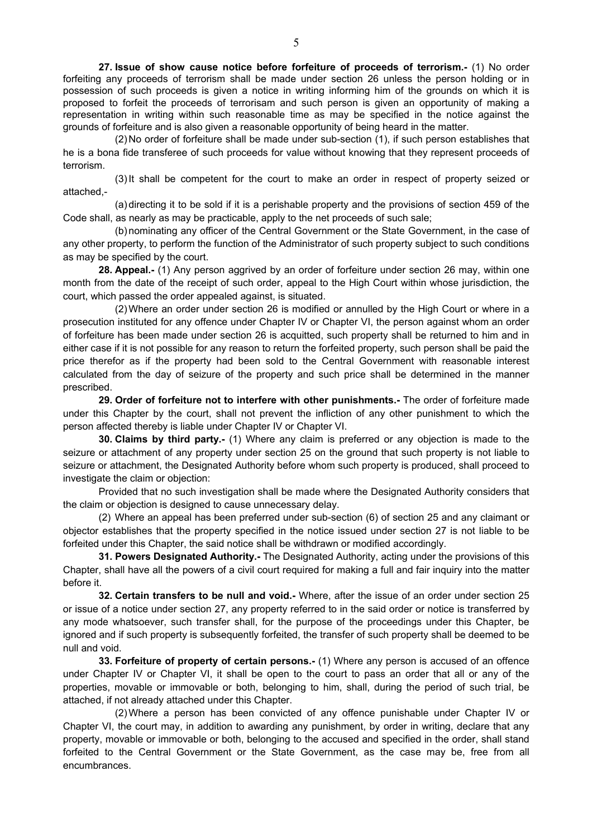**27. Issue of show cause notice before forfeiture of proceeds of terrorism.-** (1) No order forfeiting any proceeds of terrorism shall be made under section 26 unless the person holding or in possession of such proceeds is given a notice in writing informing him of the grounds on which it is proposed to forfeit the proceeds of terrorisam and such person is given an opportunity of making a representation in writing within such reasonable time as may be specified in the notice against the grounds of forfeiture and is also given a reasonable opportunity of being heard in the matter.

(2) No order of forfeiture shall be made under sub-section (1), if such person establishes that he is a bona fide transferee of such proceeds for value without knowing that they represent proceeds of terrorism.

(3) It shall be competent for the court to make an order in respect of property seized or attached,-

(a) directing it to be sold if it is a perishable property and the provisions of section 459 of the Code shall, as nearly as may be practicable, apply to the net proceeds of such sale;

(b) nominating any officer of the Central Government or the State Government, in the case of any other property, to perform the function of the Administrator of such property subject to such conditions as may be specified by the court.

**28. Appeal.-** (1) Any person aggrived by an order of forfeiture under section 26 may, within one month from the date of the receipt of such order, appeal to the High Court within whose jurisdiction, the court, which passed the order appealed against, is situated.

(2) Where an order under section 26 is modified or annulled by the High Court or where in a prosecution instituted for any offence under Chapter IV or Chapter VI, the person against whom an order of forfeiture has been made under section 26 is acquitted, such property shall be returned to him and in either case if it is not possible for any reason to return the forfeited property, such person shall be paid the price therefor as if the property had been sold to the Central Government with reasonable interest calculated from the day of seizure of the property and such price shall be determined in the manner prescribed.

**29. Order of forfeiture not to interfere with other punishments.-** The order of forfeiture made under this Chapter by the court, shall not prevent the infliction of any other punishment to which the person affected thereby is liable under Chapter IV or Chapter VI.

**30. Claims by third party.-** (1) Where any claim is preferred or any objection is made to the seizure or attachment of any property under section 25 on the ground that such property is not liable to seizure or attachment, the Designated Authority before whom such property is produced, shall proceed to investigate the claim or objection:

Provided that no such investigation shall be made where the Designated Authority considers that the claim or objection is designed to cause unnecessary delay.

(2) Where an appeal has been preferred under sub-section (6) of section 25 and any claimant or objector establishes that the property specified in the notice issued under section 27 is not liable to be forfeited under this Chapter, the said notice shall be withdrawn or modified accordingly.

**31. Powers Designated Authority.-** The Designated Authority, acting under the provisions of this Chapter, shall have all the powers of a civil court required for making a full and fair inquiry into the matter before it.

**32. Certain transfers to be null and void.-** Where, after the issue of an order under section 25 or issue of a notice under section 27, any property referred to in the said order or notice is transferred by any mode whatsoever, such transfer shall, for the purpose of the proceedings under this Chapter, be ignored and if such property is subsequently forfeited, the transfer of such property shall be deemed to be null and void.

**33. Forfeiture of property of certain persons.-** (1) Where any person is accused of an offence under Chapter IV or Chapter VI, it shall be open to the court to pass an order that all or any of the properties, movable or immovable or both, belonging to him, shall, during the period of such trial, be attached, if not already attached under this Chapter.

(2) Where a person has been convicted of any offence punishable under Chapter IV or Chapter VI, the court may, in addition to awarding any punishment, by order in writing, declare that any property, movable or immovable or both, belonging to the accused and specified in the order, shall stand forfeited to the Central Government or the State Government, as the case may be, free from all encumbrances.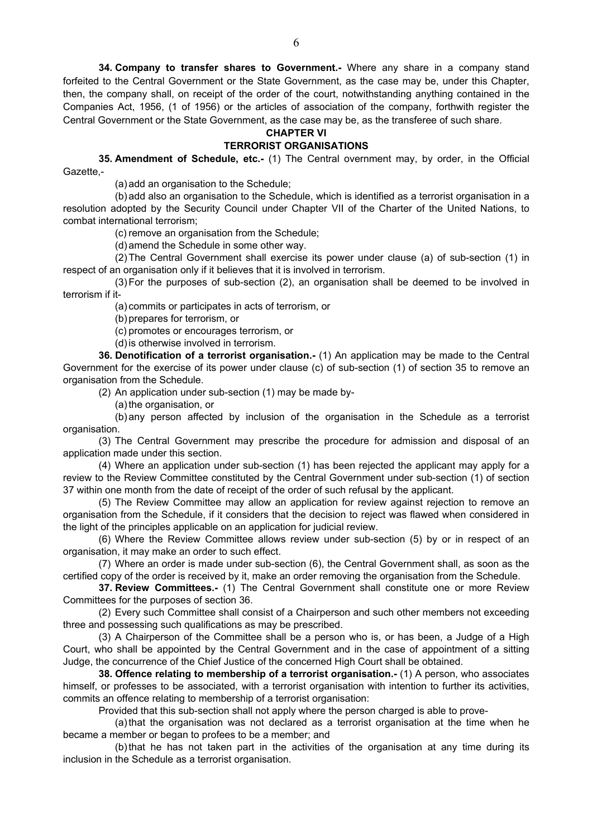**34. Company to transfer shares to Government.-** Where any share in a company stand forfeited to the Central Government or the State Government, as the case may be, under this Chapter, then, the company shall, on receipt of the order of the court, notwithstanding anything contained in the Companies Act, 1956, (1 of 1956) or the articles of association of the company, forthwith register the Central Government or the State Government, as the case may be, as the transferee of such share.

### **CHAPTER VI**

### **TERRORIST ORGANISATIONS**

**35. Amendment of Schedule, etc.-** (1) The Central overnment may, by order, in the Official Gazette,-

(a) add an organisation to the Schedule;

(b) add also an organisation to the Schedule, which is identified as a terrorist organisation in a resolution adopted by the Security Council under Chapter VII of the Charter of the United Nations, to combat international terrorism;

(c) remove an organisation from the Schedule;

(d) amend the Schedule in some other way.

(2) The Central Government shall exercise its power under clause (a) of sub-section (1) in respect of an organisation only if it believes that it is involved in terrorism.

(3) For the purposes of sub-section (2), an organisation shall be deemed to be involved in terrorism if it-

(a) commits or participates in acts of terrorism, or

(b) prepares for terrorism, or

(c) promotes or encourages terrorism, or

(d) is otherwise involved in terrorism.

**36. Denotification of a terrorist organisation.-** (1) An application may be made to the Central Government for the exercise of its power under clause (c) of sub-section (1) of section 35 to remove an organisation from the Schedule.

(2) An application under sub-section (1) may be made by-

(a) the organisation, or

(b) any person affected by inclusion of the organisation in the Schedule as a terrorist organisation.

(3) The Central Government may prescribe the procedure for admission and disposal of an application made under this section.

(4) Where an application under sub-section (1) has been rejected the applicant may apply for a review to the Review Committee constituted by the Central Government under sub-section (1) of section 37 within one month from the date of receipt of the order of such refusal by the applicant.

(5) The Review Committee may allow an application for review against rejection to remove an organisation from the Schedule, if it considers that the decision to reject was flawed when considered in the light of the principles applicable on an application for judicial review.

(6) Where the Review Committee allows review under sub-section (5) by or in respect of an organisation, it may make an order to such effect.

(7) Where an order is made under sub-section (6), the Central Government shall, as soon as the certified copy of the order is received by it, make an order removing the organisation from the Schedule.

**37. Review Committees.-** (1) The Central Government shall constitute one or more Review Committees for the purposes of section 36.

(2) Every such Committee shall consist of a Chairperson and such other members not exceeding three and possessing such qualifications as may be prescribed.

(3) A Chairperson of the Committee shall be a person who is, or has been, a Judge of a High Court, who shall be appointed by the Central Government and in the case of appointment of a sitting Judge, the concurrence of the Chief Justice of the concerned High Court shall be obtained.

**38. Offence relating to membership of a terrorist organisation.-** (1) A person, who associates himself, or professes to be associated, with a terrorist organisation with intention to further its activities, commits an offence relating to membership of a terrorist organisation:

Provided that this sub-section shall not apply where the person charged is able to prove-

(a) that the organisation was not declared as a terrorist organisation at the time when he became a member or began to profees to be a member; and

(b) that he has not taken part in the activities of the organisation at any time during its inclusion in the Schedule as a terrorist organisation.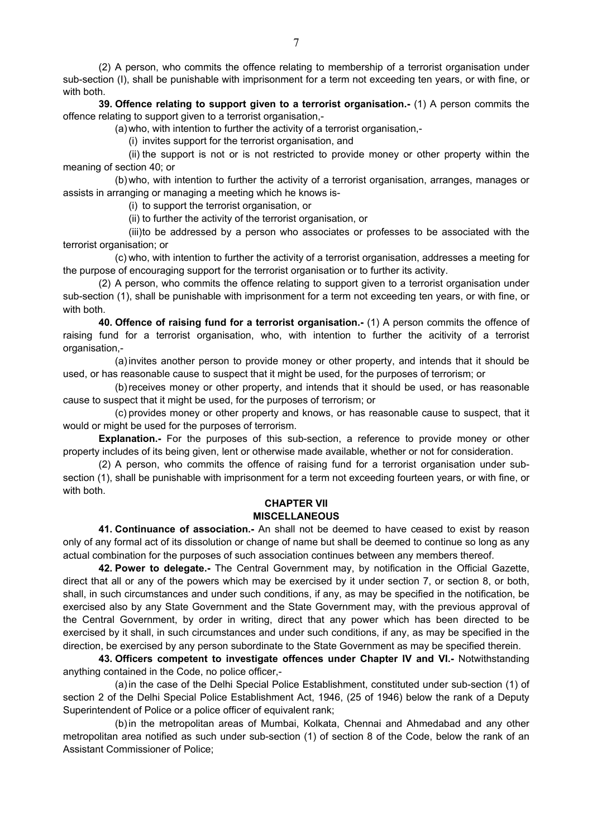(2) A person, who commits the offence relating to membership of a terrorist organisation under sub-section (I), shall be punishable with imprisonment for a term not exceeding ten years, or with fine, or with both.

**39. Offence relating to support given to a terrorist organisation.-** (1) A person commits the offence relating to support given to a terrorist organisation,-

(a) who, with intention to further the activity of a terrorist organisation,-

(i) invites support for the terrorist organisation, and

(ii) the support is not or is not restricted to provide money or other property within the meaning of section 40; or

(b) who, with intention to further the activity of a terrorist organisation, arranges, manages or assists in arranging or managing a meeting which he knows is-

(i) to support the terrorist organisation, or

(ii) to further the activity of the terrorist organisation, or

(iii) to be addressed by a person who associates or professes to be associated with the terrorist organisation; or

(c) who, with intention to further the activity of a terrorist organisation, addresses a meeting for the purpose of encouraging support for the terrorist organisation or to further its activity.

(2) A person, who commits the offence relating to support given to a terrorist organisation under sub-section (1), shall be punishable with imprisonment for a term not exceeding ten years, or with fine, or with both.

**40. Offence of raising fund for a terrorist organisation.-** (1) A person commits the offence of raising fund for a terrorist organisation, who, with intention to further the acitivity of a terrorist organisation.-

(a) invites another person to provide money or other property, and intends that it should be used, or has reasonable cause to suspect that it might be used, for the purposes of terrorism; or

(b) receives money or other property, and intends that it should be used, or has reasonable cause to suspect that it might be used, for the purposes of terrorism; or

(c) provides money or other property and knows, or has reasonable cause to suspect, that it would or might be used for the purposes of terrorism.

**Explanation.-** For the purposes of this sub-section, a reference to provide money or other property includes of its being given, lent or otherwise made available, whether or not for consideration.

(2) A person, who commits the offence of raising fund for a terrorist organisation under subsection (1), shall be punishable with imprisonment for a term not exceeding fourteen years, or with fine, or with both.

#### **CHAPTER VII MISCELLANEOUS**

**41. Continuance of association.-** An shall not be deemed to have ceased to exist by reason only of any formal act of its dissolution or change of name but shall be deemed to continue so long as any actual combination for the purposes of such association continues between any members thereof.

**42. Power to delegate.-** The Central Government may, by notification in the Official Gazette, direct that all or any of the powers which may be exercised by it under section 7, or section 8, or both, shall, in such circumstances and under such conditions, if any, as may be specified in the notification, be exercised also by any State Government and the State Government may, with the previous approval of the Central Government, by order in writing, direct that any power which has been directed to be exercised by it shall, in such circumstances and under such conditions, if any, as may be specified in the direction, be exercised by any person subordinate to the State Government as may be specified therein.

**43. Officers competent to investigate offences under Chapter IV and VI.-** Notwithstanding anything contained in the Code, no police officer,-

(a) in the case of the Delhi Special Police Establishment, constituted under sub-section (1) of section 2 of the Delhi Special Police Establishment Act, 1946, (25 of 1946) below the rank of a Deputy Superintendent of Police or a police officer of equivalent rank;

(b) in the metropolitan areas of Mumbai, Kolkata, Chennai and Ahmedabad and any other metropolitan area notified as such under sub-section (1) of section 8 of the Code, below the rank of an Assistant Commissioner of Police;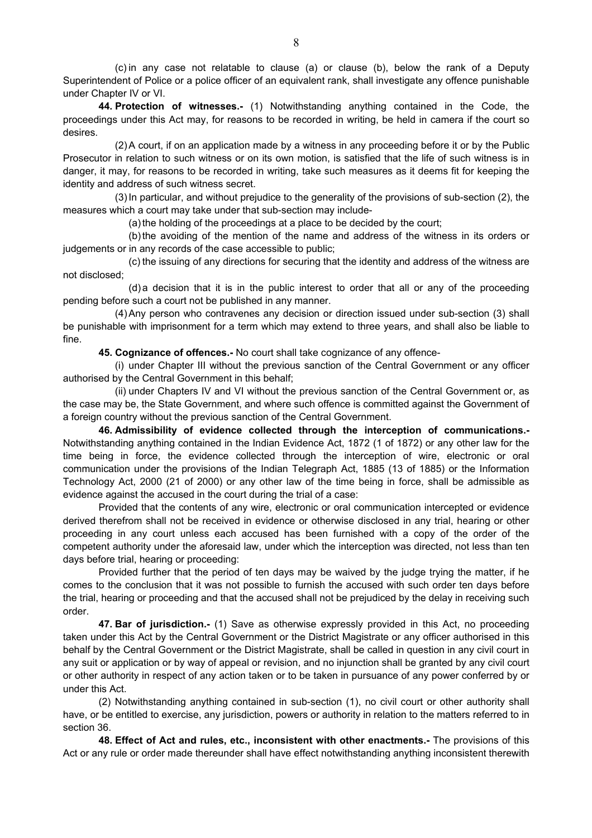(c) in any case not relatable to clause (a) or clause (b), below the rank of a Deputy Superintendent of Police or a police officer of an equivalent rank, shall investigate any offence punishable under Chapter IV or VI.

**44. Protection of witnesses.-** (1) Notwithstanding anything contained in the Code, the proceedings under this Act may, for reasons to be recorded in writing, be held in camera if the court so desires.

(2) A court, if on an application made by a witness in any proceeding before it or by the Public Prosecutor in relation to such witness or on its own motion, is satisfied that the life of such witness is in danger, it may, for reasons to be recorded in writing, take such measures as it deems fit for keeping the identity and address of such witness secret.

(3) In particular, and without prejudice to the generality of the provisions of sub-section (2), the measures which a court may take under that sub-section may include-

(a) the holding of the proceedings at a place to be decided by the court;

(b) the avoiding of the mention of the name and address of the witness in its orders or judgements or in any records of the case accessible to public;

(c) the issuing of any directions for securing that the identity and address of the witness are not disclosed;

(d) a decision that it is in the public interest to order that all or any of the proceeding pending before such a court not be published in any manner.

(4) Any person who contravenes any decision or direction issued under sub-section (3) shall be punishable with imprisonment for a term which may extend to three years, and shall also be liable to fine.

**45. Cognizance of offences.-** No court shall take cognizance of any offence-

(i) under Chapter III without the previous sanction of the Central Government or any officer authorised by the Central Government in this behalf;

(ii) under Chapters IV and VI without the previous sanction of the Central Government or, as the case may be, the State Government, and where such offence is committed against the Government of a foreign country without the previous sanction of the Central Government.

**46. Admissibility of evidence collected through the interception of communications.-** Notwithstanding anything contained in the Indian Evidence Act, 1872 (1 of 1872) or any other law for the time being in force, the evidence collected through the interception of wire, electronic or oral communication under the provisions of the Indian Telegraph Act, 1885 (13 of 1885) or the Information Technology Act, 2000 (21 of 2000) or any other law of the time being in force, shall be admissible as evidence against the accused in the court during the trial of a case:

Provided that the contents of any wire, electronic or oral communication intercepted or evidence derived therefrom shall not be received in evidence or otherwise disclosed in any trial, hearing or other proceeding in any court unless each accused has been furnished with a copy of the order of the competent authority under the aforesaid law, under which the interception was directed, not less than ten days before trial, hearing or proceeding:

Provided further that the period of ten days may be waived by the judge trying the matter, if he comes to the conclusion that it was not possible to furnish the accused with such order ten days before the trial, hearing or proceeding and that the accused shall not be prejudiced by the delay in receiving such order.

**47. Bar of jurisdiction.-** (1) Save as otherwise expressly provided in this Act, no proceeding taken under this Act by the Central Government or the District Magistrate or any officer authorised in this behalf by the Central Government or the District Magistrate, shall be called in question in any civil court in any suit or application or by way of appeal or revision, and no injunction shall be granted by any civil court or other authority in respect of any action taken or to be taken in pursuance of any power conferred by or under this Act.

(2) Notwithstanding anything contained in sub-section (1), no civil court or other authority shall have, or be entitled to exercise, any jurisdiction, powers or authority in relation to the matters referred to in section 36.

**48. Effect of Act and rules, etc., inconsistent with other enactments.-** The provisions of this Act or any rule or order made thereunder shall have effect notwithstanding anything inconsistent therewith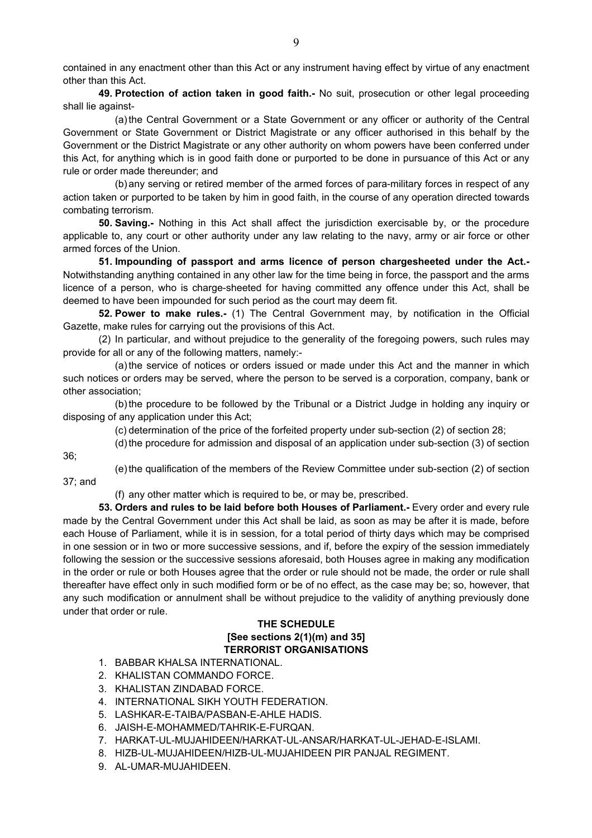contained in any enactment other than this Act or any instrument having effect by virtue of any enactment other than this Act.

**49. Protection of action taken in good faith.-** No suit, prosecution or other legal proceeding shall lie against-

(a) the Central Government or a State Government or any officer or authority of the Central Government or State Government or District Magistrate or any officer authorised in this behalf by the Government or the District Magistrate or any other authority on whom powers have been conferred under this Act, for anything which is in good faith done or purported to be done in pursuance of this Act or any rule or order made thereunder; and

(b) any serving or retired member of the armed forces of para-military forces in respect of any action taken or purported to be taken by him in good faith, in the course of any operation directed towards combating terrorism.

**50. Saving.-** Nothing in this Act shall affect the jurisdiction exercisable by, or the procedure applicable to, any court or other authority under any law relating to the navy, army or air force or other armed forces of the Union.

**51. Impounding of passport and arms licence of person chargesheeted under the Act.-** Notwithstanding anything contained in any other law for the time being in force, the passport and the arms licence of a person, who is charge-sheeted for having committed any offence under this Act, shall be deemed to have been impounded for such period as the court may deem fit.

**52. Power to make rules.-** (1) The Central Government may, by notification in the Official Gazette, make rules for carrying out the provisions of this Act.

(2) In particular, and without prejudice to the generality of the foregoing powers, such rules may provide for all or any of the following matters, namely:-

(a) the service of notices or orders issued or made under this Act and the manner in which such notices or orders may be served, where the person to be served is a corporation, company, bank or other association;

(b) the procedure to be followed by the Tribunal or a District Judge in holding any inquiry or disposing of any application under this Act;

(c) determination of the price of the forfeited property under sub-section (2) of section 28;

(d) the procedure for admission and disposal of an application under sub-section (3) of section

36;

(e) the qualification of the members of the Review Committee under sub-section (2) of section 37; and

(f) any other matter which is required to be, or may be, prescribed.

**53. Orders and rules to be laid before both Houses of Parliament.-** Every order and every rule made by the Central Government under this Act shall be laid, as soon as may be after it is made, before each House of Parliament, while it is in session, for a total period of thirty days which may be comprised in one session or in two or more successive sessions, and if, before the expiry of the session immediately following the session or the successive sessions aforesaid, both Houses agree in making any modification in the order or rule or both Houses agree that the order or rule should not be made, the order or rule shall thereafter have effect only in such modified form or be of no effect, as the case may be; so, however, that any such modification or annulment shall be without prejudice to the validity of anything previously done under that order or rule.

## **THE SCHEDULE [See sections 2(1)(m) and 35] TERRORIST ORGANISATIONS**

- 1. BABBAR KHALSA INTERNATIONAL.
- 2. KHALISTAN COMMANDO FORCE.
- 3. KHALISTAN ZINDABAD FORCE.
- 4. INTERNATIONAL SIKH YOUTH FEDERATION.
- 5. LASHKAR-E-TAIBA/PASBAN-E-AHLE HADIS.
- 6. JAISH-E-MOHAMMED/TAHRIK-E-FURQAN.
- 7. HARKAT-UL-MUJAHIDEEN/HARKAT-UL-ANSAR/HARKAT-UL-JEHAD-E-ISLAMI.
- 8. HIZB-UL-MUJAHIDEEN/HIZB-UL-MUJAHIDEEN PIR PANJAL REGIMENT.
- 9. AL-UMAR-MUJAHIDEEN.